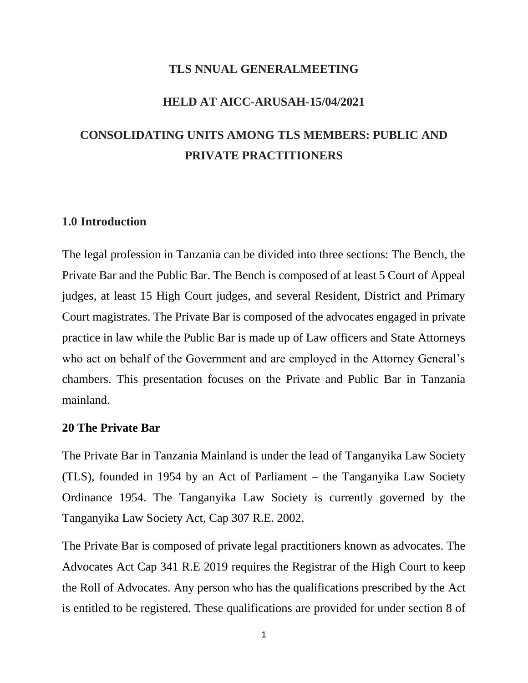#### **TLS NNUAL GENERALMEETING**

#### **HELD AT AICC-ARUSAH-15/04/2021**

# **CONSOLIDATING UNITS AMONG TLS MEMBERS: PUBLIC AND PRIVATE PRACTITIONERS**

### **1.0 Introduction**

The legal profession in Tanzania can be divided into three sections: The Bench, the Private Bar and the Public Bar. The Bench is composed of at least 5 Court of Appeal judges, at least 15 High Court judges, and several Resident, District and Primary Court magistrates. The Private Bar is composed of the advocates engaged in private practice in law while the Public Bar is made up of Law officers and State Attorneys who act on behalf of the Government and are employed in the Attorney General's chambers. This presentation focuses on the Private and Public Bar in Tanzania mainland.

### **20 The Private Bar**

The Private Bar in Tanzania Mainland is under the lead of Tanganyika Law Society (TLS), founded in 1954 by an Act of Parliament – the Tanganyika Law Society Ordinance 1954. The Tanganyika Law Society is currently governed by the Tanganyika Law Society Act, Cap 307 R.E. 2002.

The Private Bar is composed of private legal practitioners known as advocates. The Advocates Act Cap 341 R.E 2019 requires the Registrar of the High Court to keep the Roll of Advocates. Any person who has the qualifications prescribed by the Act is entitled to be registered. These qualifications are provided for under section 8 of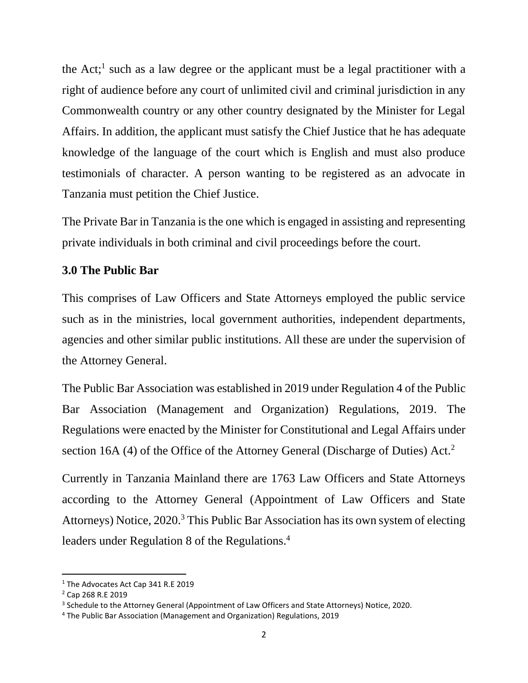the Act;<sup>1</sup> such as a law degree or the applicant must be a legal practitioner with a right of audience before any court of unlimited civil and criminal jurisdiction in any Commonwealth country or any other country designated by the Minister for Legal Affairs. In addition, the applicant must satisfy the Chief Justice that he has adequate knowledge of the language of the court which is English and must also produce testimonials of character. A person wanting to be registered as an advocate in Tanzania must petition the Chief Justice.

The Private Bar in Tanzania is the one which is engaged in assisting and representing private individuals in both criminal and civil proceedings before the court.

### **3.0 The Public Bar**

This comprises of Law Officers and State Attorneys employed the public service such as in the ministries, local government authorities, independent departments, agencies and other similar public institutions. All these are under the supervision of the Attorney General.

The Public Bar Association was established in 2019 under Regulation 4 of the Public Bar Association (Management and Organization) Regulations, 2019. The Regulations were enacted by the Minister for Constitutional and Legal Affairs under section 16A (4) of the Office of the Attorney General (Discharge of Duties) Act.<sup>2</sup>

Currently in Tanzania Mainland there are 1763 Law Officers and State Attorneys according to the Attorney General (Appointment of Law Officers and State Attorneys) Notice, 2020.<sup>3</sup> This Public Bar Association has its own system of electing leaders under Regulation 8 of the Regulations.<sup>4</sup>

 $\overline{a}$ 

<sup>&</sup>lt;sup>1</sup> The Advocates Act Cap 341 R.E 2019

<sup>2</sup> Cap 268 R.E 2019

<sup>&</sup>lt;sup>3</sup> Schedule to the Attorney General (Appointment of Law Officers and State Attorneys) Notice, 2020.

<sup>4</sup> The Public Bar Association (Management and Organization) Regulations, 2019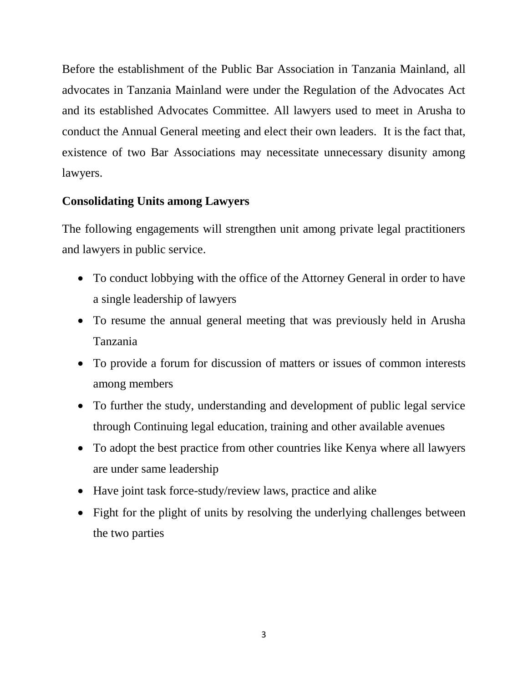Before the establishment of the Public Bar Association in Tanzania Mainland, all advocates in Tanzania Mainland were under the Regulation of the Advocates Act and its established Advocates Committee. All lawyers used to meet in Arusha to conduct the Annual General meeting and elect their own leaders. It is the fact that, existence of two Bar Associations may necessitate unnecessary disunity among lawyers.

### **Consolidating Units among Lawyers**

The following engagements will strengthen unit among private legal practitioners and lawyers in public service.

- To conduct lobbying with the office of the Attorney General in order to have a single leadership of lawyers
- To resume the annual general meeting that was previously held in Arusha Tanzania
- To provide a forum for discussion of matters or issues of common interests among members
- To further the study, understanding and development of public legal service through Continuing legal education, training and other available avenues
- To adopt the best practice from other countries like Kenya where all lawyers are under same leadership
- Have joint task force-study/review laws, practice and alike
- Fight for the plight of units by resolving the underlying challenges between the two parties